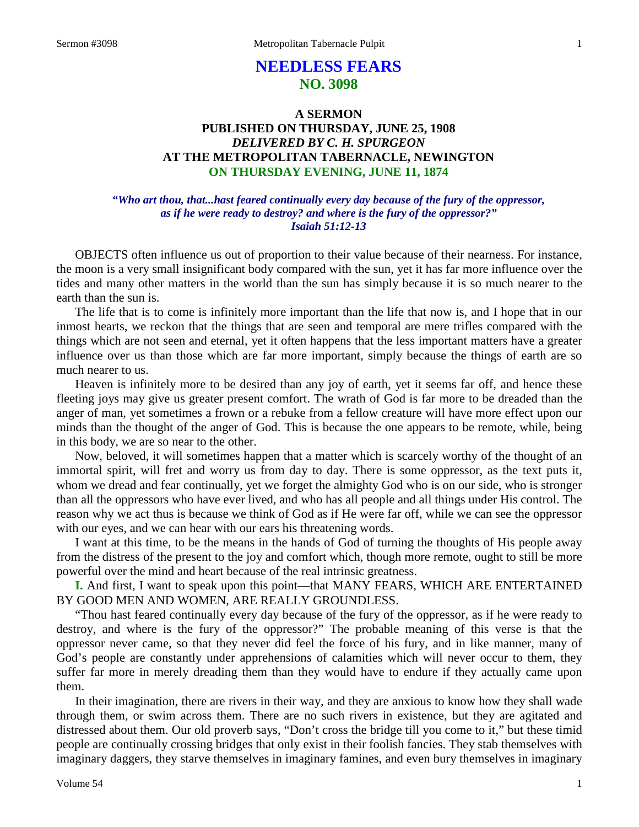# **NEEDLESS FEARS NO. 3098**

# **A SERMON PUBLISHED ON THURSDAY, JUNE 25, 1908** *DELIVERED BY C. H. SPURGEON* **AT THE METROPOLITAN TABERNACLE, NEWINGTON ON THURSDAY EVENING, JUNE 11, 1874**

#### *"Who art thou, that...hast feared continually every day because of the fury of the oppressor, as if he were ready to destroy? and where is the fury of the oppressor?" Isaiah 51:12-13*

OBJECTS often influence us out of proportion to their value because of their nearness. For instance, the moon is a very small insignificant body compared with the sun, yet it has far more influence over the tides and many other matters in the world than the sun has simply because it is so much nearer to the earth than the sun is.

The life that is to come is infinitely more important than the life that now is, and I hope that in our inmost hearts, we reckon that the things that are seen and temporal are mere trifles compared with the things which are not seen and eternal, yet it often happens that the less important matters have a greater influence over us than those which are far more important, simply because the things of earth are so much nearer to us.

Heaven is infinitely more to be desired than any joy of earth, yet it seems far off, and hence these fleeting joys may give us greater present comfort. The wrath of God is far more to be dreaded than the anger of man, yet sometimes a frown or a rebuke from a fellow creature will have more effect upon our minds than the thought of the anger of God. This is because the one appears to be remote, while, being in this body, we are so near to the other.

Now, beloved, it will sometimes happen that a matter which is scarcely worthy of the thought of an immortal spirit, will fret and worry us from day to day. There is some oppressor, as the text puts it, whom we dread and fear continually, yet we forget the almighty God who is on our side, who is stronger than all the oppressors who have ever lived, and who has all people and all things under His control. The reason why we act thus is because we think of God as if He were far off, while we can see the oppressor with our eyes, and we can hear with our ears his threatening words.

I want at this time, to be the means in the hands of God of turning the thoughts of His people away from the distress of the present to the joy and comfort which, though more remote, ought to still be more powerful over the mind and heart because of the real intrinsic greatness.

**I.** And first, I want to speak upon this point—that MANY FEARS, WHICH ARE ENTERTAINED BY GOOD MEN AND WOMEN, ARE REALLY GROUNDLESS.

"Thou hast feared continually every day because of the fury of the oppressor, as if he were ready to destroy, and where is the fury of the oppressor?" The probable meaning of this verse is that the oppressor never came, so that they never did feel the force of his fury, and in like manner, many of God's people are constantly under apprehensions of calamities which will never occur to them, they suffer far more in merely dreading them than they would have to endure if they actually came upon them.

In their imagination, there are rivers in their way, and they are anxious to know how they shall wade through them, or swim across them. There are no such rivers in existence, but they are agitated and distressed about them. Our old proverb says, "Don't cross the bridge till you come to it," but these timid people are continually crossing bridges that only exist in their foolish fancies. They stab themselves with imaginary daggers, they starve themselves in imaginary famines, and even bury themselves in imaginary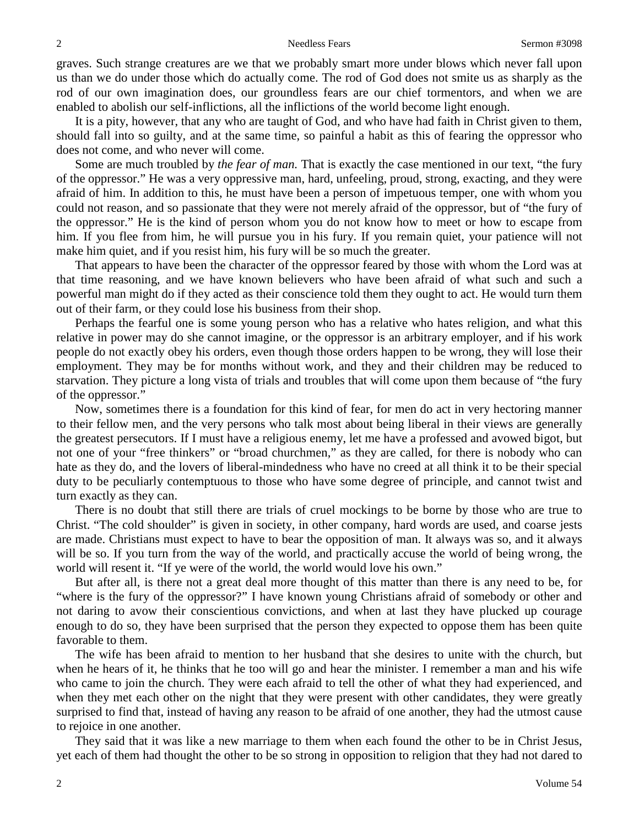graves. Such strange creatures are we that we probably smart more under blows which never fall upon us than we do under those which do actually come. The rod of God does not smite us as sharply as the rod of our own imagination does, our groundless fears are our chief tormentors, and when we are enabled to abolish our self-inflictions, all the inflictions of the world become light enough.

It is a pity, however, that any who are taught of God, and who have had faith in Christ given to them, should fall into so guilty, and at the same time, so painful a habit as this of fearing the oppressor who does not come, and who never will come.

Some are much troubled by *the fear of man.* That is exactly the case mentioned in our text, "the fury of the oppressor." He was a very oppressive man, hard, unfeeling, proud, strong, exacting, and they were afraid of him. In addition to this, he must have been a person of impetuous temper, one with whom you could not reason, and so passionate that they were not merely afraid of the oppressor, but of "the fury of the oppressor." He is the kind of person whom you do not know how to meet or how to escape from him. If you flee from him, he will pursue you in his fury. If you remain quiet, your patience will not make him quiet, and if you resist him, his fury will be so much the greater.

That appears to have been the character of the oppressor feared by those with whom the Lord was at that time reasoning, and we have known believers who have been afraid of what such and such a powerful man might do if they acted as their conscience told them they ought to act. He would turn them out of their farm, or they could lose his business from their shop.

Perhaps the fearful one is some young person who has a relative who hates religion, and what this relative in power may do she cannot imagine, or the oppressor is an arbitrary employer, and if his work people do not exactly obey his orders, even though those orders happen to be wrong, they will lose their employment. They may be for months without work, and they and their children may be reduced to starvation. They picture a long vista of trials and troubles that will come upon them because of "the fury of the oppressor."

Now, sometimes there is a foundation for this kind of fear, for men do act in very hectoring manner to their fellow men, and the very persons who talk most about being liberal in their views are generally the greatest persecutors. If I must have a religious enemy, let me have a professed and avowed bigot, but not one of your "free thinkers" or "broad churchmen," as they are called, for there is nobody who can hate as they do, and the lovers of liberal-mindedness who have no creed at all think it to be their special duty to be peculiarly contemptuous to those who have some degree of principle, and cannot twist and turn exactly as they can.

There is no doubt that still there are trials of cruel mockings to be borne by those who are true to Christ. "The cold shoulder" is given in society, in other company, hard words are used, and coarse jests are made. Christians must expect to have to bear the opposition of man. It always was so, and it always will be so. If you turn from the way of the world, and practically accuse the world of being wrong, the world will resent it. "If ye were of the world, the world would love his own."

But after all, is there not a great deal more thought of this matter than there is any need to be, for "where is the fury of the oppressor?" I have known young Christians afraid of somebody or other and not daring to avow their conscientious convictions, and when at last they have plucked up courage enough to do so, they have been surprised that the person they expected to oppose them has been quite favorable to them.

The wife has been afraid to mention to her husband that she desires to unite with the church, but when he hears of it, he thinks that he too will go and hear the minister. I remember a man and his wife who came to join the church. They were each afraid to tell the other of what they had experienced, and when they met each other on the night that they were present with other candidates, they were greatly surprised to find that, instead of having any reason to be afraid of one another, they had the utmost cause to rejoice in one another.

They said that it was like a new marriage to them when each found the other to be in Christ Jesus, yet each of them had thought the other to be so strong in opposition to religion that they had not dared to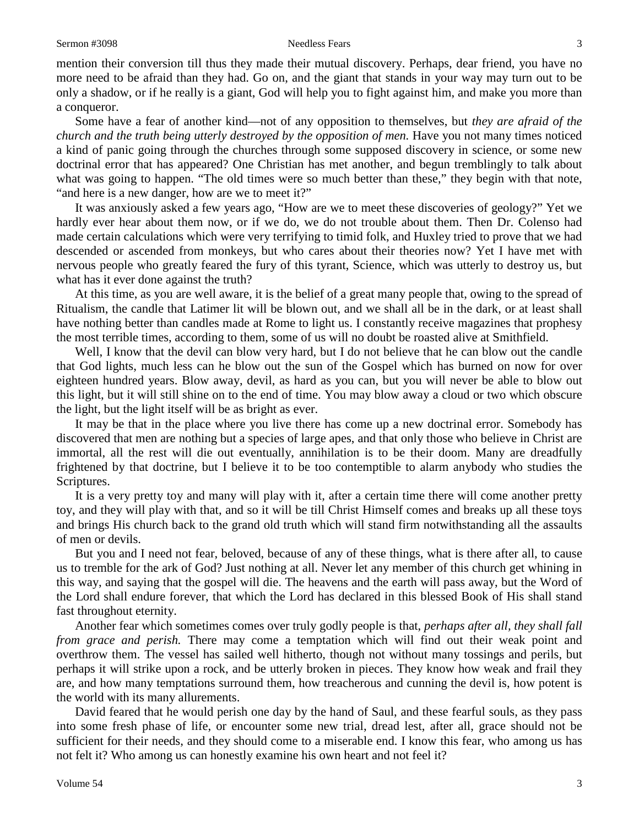#### Sermon #3098 3

mention their conversion till thus they made their mutual discovery. Perhaps, dear friend, you have no more need to be afraid than they had. Go on, and the giant that stands in your way may turn out to be only a shadow, or if he really is a giant, God will help you to fight against him, and make you more than a conqueror.

Some have a fear of another kind—not of any opposition to themselves, but *they are afraid of the church and the truth being utterly destroyed by the opposition of men.* Have you not many times noticed a kind of panic going through the churches through some supposed discovery in science, or some new doctrinal error that has appeared? One Christian has met another, and begun tremblingly to talk about what was going to happen. "The old times were so much better than these," they begin with that note, "and here is a new danger, how are we to meet it?"

It was anxiously asked a few years ago, "How are we to meet these discoveries of geology?" Yet we hardly ever hear about them now, or if we do, we do not trouble about them. Then Dr. Colenso had made certain calculations which were very terrifying to timid folk, and Huxley tried to prove that we had descended or ascended from monkeys, but who cares about their theories now? Yet I have met with nervous people who greatly feared the fury of this tyrant, Science, which was utterly to destroy us, but what has it ever done against the truth?

At this time, as you are well aware, it is the belief of a great many people that, owing to the spread of Ritualism, the candle that Latimer lit will be blown out, and we shall all be in the dark, or at least shall have nothing better than candles made at Rome to light us. I constantly receive magazines that prophesy the most terrible times, according to them, some of us will no doubt be roasted alive at Smithfield.

Well, I know that the devil can blow very hard, but I do not believe that he can blow out the candle that God lights, much less can he blow out the sun of the Gospel which has burned on now for over eighteen hundred years. Blow away, devil, as hard as you can, but you will never be able to blow out this light, but it will still shine on to the end of time. You may blow away a cloud or two which obscure the light, but the light itself will be as bright as ever.

It may be that in the place where you live there has come up a new doctrinal error. Somebody has discovered that men are nothing but a species of large apes, and that only those who believe in Christ are immortal, all the rest will die out eventually, annihilation is to be their doom. Many are dreadfully frightened by that doctrine, but I believe it to be too contemptible to alarm anybody who studies the Scriptures.

It is a very pretty toy and many will play with it, after a certain time there will come another pretty toy, and they will play with that, and so it will be till Christ Himself comes and breaks up all these toys and brings His church back to the grand old truth which will stand firm notwithstanding all the assaults of men or devils.

But you and I need not fear, beloved, because of any of these things, what is there after all, to cause us to tremble for the ark of God? Just nothing at all. Never let any member of this church get whining in this way, and saying that the gospel will die. The heavens and the earth will pass away, but the Word of the Lord shall endure forever, that which the Lord has declared in this blessed Book of His shall stand fast throughout eternity.

Another fear which sometimes comes over truly godly people is that, *perhaps after all, they shall fall from grace and perish.* There may come a temptation which will find out their weak point and overthrow them. The vessel has sailed well hitherto, though not without many tossings and perils, but perhaps it will strike upon a rock, and be utterly broken in pieces. They know how weak and frail they are, and how many temptations surround them, how treacherous and cunning the devil is, how potent is the world with its many allurements.

David feared that he would perish one day by the hand of Saul, and these fearful souls, as they pass into some fresh phase of life, or encounter some new trial, dread lest, after all, grace should not be sufficient for their needs, and they should come to a miserable end. I know this fear, who among us has not felt it? Who among us can honestly examine his own heart and not feel it?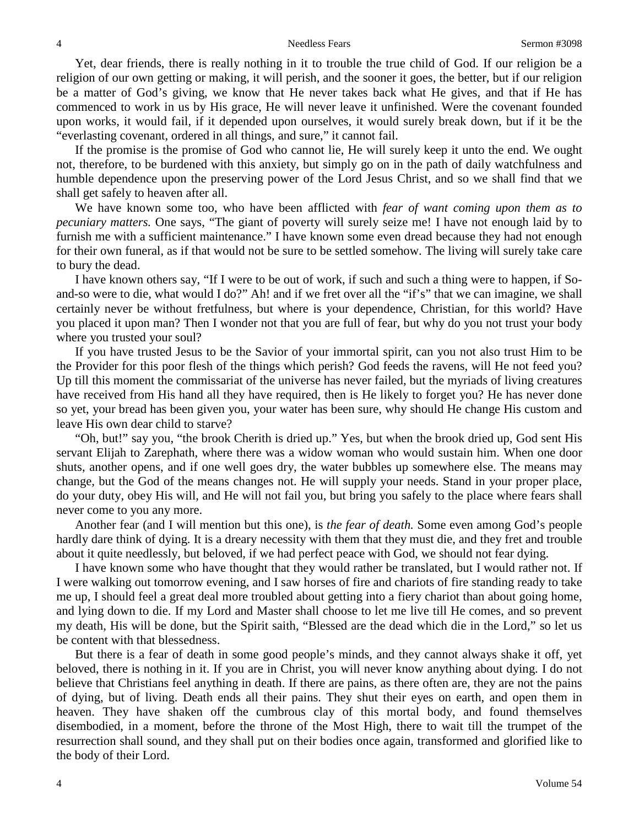Yet, dear friends, there is really nothing in it to trouble the true child of God. If our religion be a religion of our own getting or making, it will perish, and the sooner it goes, the better, but if our religion be a matter of God's giving, we know that He never takes back what He gives, and that if He has commenced to work in us by His grace, He will never leave it unfinished. Were the covenant founded upon works, it would fail, if it depended upon ourselves, it would surely break down, but if it be the "everlasting covenant, ordered in all things, and sure," it cannot fail.

If the promise is the promise of God who cannot lie, He will surely keep it unto the end. We ought not, therefore, to be burdened with this anxiety, but simply go on in the path of daily watchfulness and humble dependence upon the preserving power of the Lord Jesus Christ, and so we shall find that we shall get safely to heaven after all.

We have known some too, who have been afflicted with *fear of want coming upon them as to pecuniary matters.* One says, "The giant of poverty will surely seize me! I have not enough laid by to furnish me with a sufficient maintenance." I have known some even dread because they had not enough for their own funeral, as if that would not be sure to be settled somehow. The living will surely take care to bury the dead.

I have known others say, "If I were to be out of work, if such and such a thing were to happen, if Soand-so were to die, what would I do?" Ah! and if we fret over all the "if's" that we can imagine, we shall certainly never be without fretfulness, but where is your dependence, Christian, for this world? Have you placed it upon man? Then I wonder not that you are full of fear, but why do you not trust your body where you trusted your soul?

If you have trusted Jesus to be the Savior of your immortal spirit, can you not also trust Him to be the Provider for this poor flesh of the things which perish? God feeds the ravens, will He not feed you? Up till this moment the commissariat of the universe has never failed, but the myriads of living creatures have received from His hand all they have required, then is He likely to forget you? He has never done so yet, your bread has been given you, your water has been sure, why should He change His custom and leave His own dear child to starve?

"Oh, but!" say you, "the brook Cherith is dried up." Yes, but when the brook dried up, God sent His servant Elijah to Zarephath, where there was a widow woman who would sustain him. When one door shuts, another opens, and if one well goes dry, the water bubbles up somewhere else. The means may change, but the God of the means changes not. He will supply your needs. Stand in your proper place, do your duty, obey His will, and He will not fail you, but bring you safely to the place where fears shall never come to you any more.

Another fear (and I will mention but this one), is *the fear of death.* Some even among God's people hardly dare think of dying. It is a dreary necessity with them that they must die, and they fret and trouble about it quite needlessly, but beloved, if we had perfect peace with God, we should not fear dying.

I have known some who have thought that they would rather be translated, but I would rather not. If I were walking out tomorrow evening, and I saw horses of fire and chariots of fire standing ready to take me up, I should feel a great deal more troubled about getting into a fiery chariot than about going home, and lying down to die. If my Lord and Master shall choose to let me live till He comes, and so prevent my death, His will be done, but the Spirit saith, "Blessed are the dead which die in the Lord," so let us be content with that blessedness.

But there is a fear of death in some good people's minds, and they cannot always shake it off, yet beloved, there is nothing in it. If you are in Christ, you will never know anything about dying. I do not believe that Christians feel anything in death. If there are pains, as there often are, they are not the pains of dying, but of living. Death ends all their pains. They shut their eyes on earth, and open them in heaven. They have shaken off the cumbrous clay of this mortal body, and found themselves disembodied, in a moment, before the throne of the Most High, there to wait till the trumpet of the resurrection shall sound, and they shall put on their bodies once again, transformed and glorified like to the body of their Lord.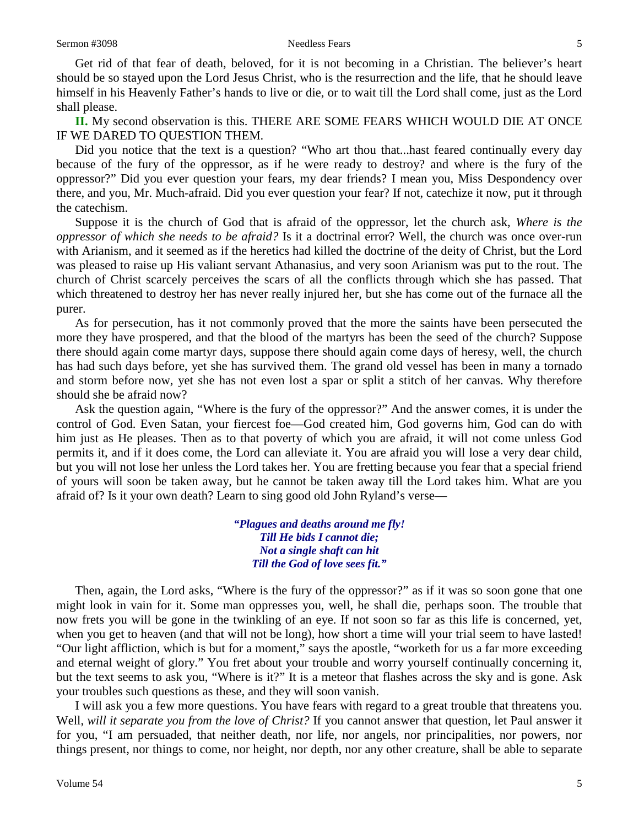Get rid of that fear of death, beloved, for it is not becoming in a Christian. The believer's heart should be so stayed upon the Lord Jesus Christ, who is the resurrection and the life, that he should leave himself in his Heavenly Father's hands to live or die, or to wait till the Lord shall come, just as the Lord shall please.

**II.** My second observation is this. THERE ARE SOME FEARS WHICH WOULD DIE AT ONCE IF WE DARED TO QUESTION THEM.

Did you notice that the text is a question? "Who art thou that...hast feared continually every day because of the fury of the oppressor, as if he were ready to destroy? and where is the fury of the oppressor?" Did you ever question your fears, my dear friends? I mean you, Miss Despondency over there, and you, Mr. Much-afraid. Did you ever question your fear? If not, catechize it now, put it through the catechism.

Suppose it is the church of God that is afraid of the oppressor, let the church ask, *Where is the oppressor of which she needs to be afraid?* Is it a doctrinal error? Well, the church was once over-run with Arianism, and it seemed as if the heretics had killed the doctrine of the deity of Christ, but the Lord was pleased to raise up His valiant servant Athanasius, and very soon Arianism was put to the rout. The church of Christ scarcely perceives the scars of all the conflicts through which she has passed. That which threatened to destroy her has never really injured her, but she has come out of the furnace all the purer.

As for persecution, has it not commonly proved that the more the saints have been persecuted the more they have prospered, and that the blood of the martyrs has been the seed of the church? Suppose there should again come martyr days, suppose there should again come days of heresy, well, the church has had such days before, yet she has survived them. The grand old vessel has been in many a tornado and storm before now, yet she has not even lost a spar or split a stitch of her canvas. Why therefore should she be afraid now?

Ask the question again, "Where is the fury of the oppressor?" And the answer comes, it is under the control of God. Even Satan, your fiercest foe—God created him, God governs him, God can do with him just as He pleases. Then as to that poverty of which you are afraid, it will not come unless God permits it, and if it does come, the Lord can alleviate it. You are afraid you will lose a very dear child, but you will not lose her unless the Lord takes her. You are fretting because you fear that a special friend of yours will soon be taken away, but he cannot be taken away till the Lord takes him. What are you afraid of? Is it your own death? Learn to sing good old John Ryland's verse—

> *"Plagues and deaths around me fly! Till He bids I cannot die; Not a single shaft can hit Till the God of love sees fit."*

Then, again, the Lord asks, "Where is the fury of the oppressor?" as if it was so soon gone that one might look in vain for it. Some man oppresses you, well, he shall die, perhaps soon. The trouble that now frets you will be gone in the twinkling of an eye. If not soon so far as this life is concerned, yet, when you get to heaven (and that will not be long), how short a time will your trial seem to have lasted! "Our light affliction, which is but for a moment," says the apostle, "worketh for us a far more exceeding and eternal weight of glory." You fret about your trouble and worry yourself continually concerning it, but the text seems to ask you, "Where is it?" It is a meteor that flashes across the sky and is gone. Ask your troubles such questions as these, and they will soon vanish.

I will ask you a few more questions. You have fears with regard to a great trouble that threatens you. Well, *will it separate you from the love of Christ?* If you cannot answer that question, let Paul answer it for you, "I am persuaded, that neither death, nor life, nor angels, nor principalities, nor powers, nor things present, nor things to come, nor height, nor depth, nor any other creature, shall be able to separate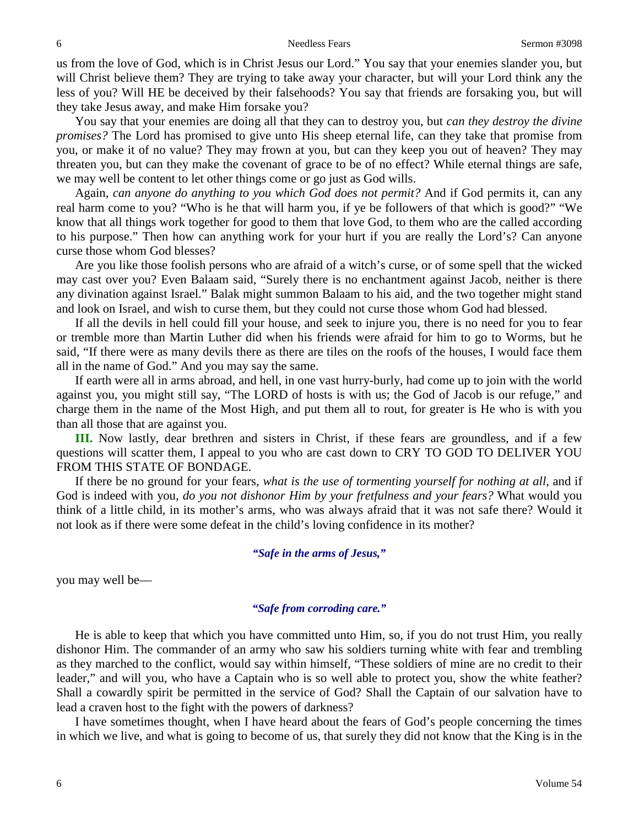us from the love of God, which is in Christ Jesus our Lord." You say that your enemies slander you, but will Christ believe them? They are trying to take away your character, but will your Lord think any the less of you? Will HE be deceived by their falsehoods? You say that friends are forsaking you, but will they take Jesus away, and make Him forsake you?

You say that your enemies are doing all that they can to destroy you, but *can they destroy the divine promises?* The Lord has promised to give unto His sheep eternal life, can they take that promise from you, or make it of no value? They may frown at you, but can they keep you out of heaven? They may threaten you, but can they make the covenant of grace to be of no effect? While eternal things are safe, we may well be content to let other things come or go just as God wills.

Again, *can anyone do anything to you which God does not permit?* And if God permits it, can any real harm come to you? "Who is he that will harm you, if ye be followers of that which is good?" "We know that all things work together for good to them that love God, to them who are the called according to his purpose." Then how can anything work for your hurt if you are really the Lord's? Can anyone curse those whom God blesses?

Are you like those foolish persons who are afraid of a witch's curse, or of some spell that the wicked may cast over you? Even Balaam said, "Surely there is no enchantment against Jacob, neither is there any divination against Israel." Balak might summon Balaam to his aid, and the two together might stand and look on Israel, and wish to curse them, but they could not curse those whom God had blessed.

If all the devils in hell could fill your house, and seek to injure you, there is no need for you to fear or tremble more than Martin Luther did when his friends were afraid for him to go to Worms, but he said, "If there were as many devils there as there are tiles on the roofs of the houses, I would face them all in the name of God." And you may say the same.

If earth were all in arms abroad, and hell, in one vast hurry-burly, had come up to join with the world against you, you might still say, "The LORD of hosts is with us; the God of Jacob is our refuge," and charge them in the name of the Most High, and put them all to rout, for greater is He who is with you than all those that are against you.

**III.** Now lastly, dear brethren and sisters in Christ, if these fears are groundless, and if a few questions will scatter them, I appeal to you who are cast down to CRY TO GOD TO DELIVER YOU FROM THIS STATE OF BONDAGE.

If there be no ground for your fears, *what is the use of tormenting yourself for nothing at all,* and if God is indeed with you, *do you not dishonor Him by your fretfulness and your fears?* What would you think of a little child, in its mother's arms, who was always afraid that it was not safe there? Would it not look as if there were some defeat in the child's loving confidence in its mother?

#### *"Safe in the arms of Jesus,"*

you may well be—

#### *"Safe from corroding care."*

He is able to keep that which you have committed unto Him, so, if you do not trust Him, you really dishonor Him. The commander of an army who saw his soldiers turning white with fear and trembling as they marched to the conflict, would say within himself, "These soldiers of mine are no credit to their leader," and will you, who have a Captain who is so well able to protect you, show the white feather? Shall a cowardly spirit be permitted in the service of God? Shall the Captain of our salvation have to lead a craven host to the fight with the powers of darkness?

I have sometimes thought, when I have heard about the fears of God's people concerning the times in which we live, and what is going to become of us, that surely they did not know that the King is in the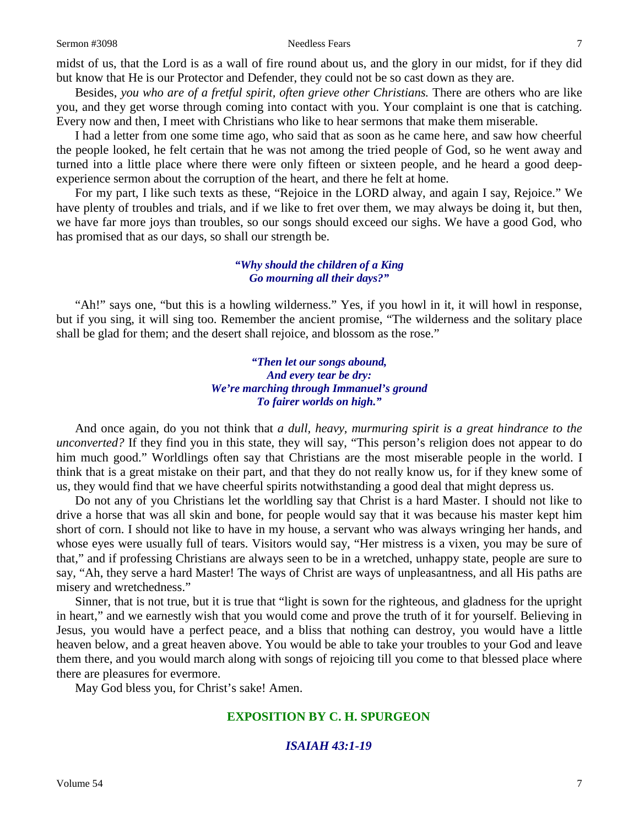midst of us, that the Lord is as a wall of fire round about us, and the glory in our midst, for if they did but know that He is our Protector and Defender, they could not be so cast down as they are.

Besides, *you who are of a fretful spirit, often grieve other Christians.* There are others who are like you, and they get worse through coming into contact with you. Your complaint is one that is catching. Every now and then, I meet with Christians who like to hear sermons that make them miserable.

I had a letter from one some time ago, who said that as soon as he came here, and saw how cheerful the people looked, he felt certain that he was not among the tried people of God, so he went away and turned into a little place where there were only fifteen or sixteen people, and he heard a good deepexperience sermon about the corruption of the heart, and there he felt at home.

For my part, I like such texts as these, "Rejoice in the LORD alway, and again I say, Rejoice." We have plenty of troubles and trials, and if we like to fret over them, we may always be doing it, but then, we have far more joys than troubles, so our songs should exceed our sighs. We have a good God, who has promised that as our days, so shall our strength be.

#### *"Why should the children of a King Go mourning all their days?"*

"Ah!" says one, "but this is a howling wilderness." Yes, if you howl in it, it will howl in response, but if you sing, it will sing too. Remember the ancient promise, "The wilderness and the solitary place shall be glad for them; and the desert shall rejoice, and blossom as the rose."

> *"Then let our songs abound, And every tear be dry: We're marching through Immanuel's ground To fairer worlds on high."*

And once again, do you not think that *a dull, heavy, murmuring spirit is a great hindrance to the unconverted?* If they find you in this state, they will say, "This person's religion does not appear to do him much good." Worldlings often say that Christians are the most miserable people in the world. I think that is a great mistake on their part, and that they do not really know us, for if they knew some of us, they would find that we have cheerful spirits notwithstanding a good deal that might depress us.

Do not any of you Christians let the worldling say that Christ is a hard Master. I should not like to drive a horse that was all skin and bone, for people would say that it was because his master kept him short of corn. I should not like to have in my house, a servant who was always wringing her hands, and whose eyes were usually full of tears. Visitors would say, "Her mistress is a vixen, you may be sure of that," and if professing Christians are always seen to be in a wretched, unhappy state, people are sure to say, "Ah, they serve a hard Master! The ways of Christ are ways of unpleasantness, and all His paths are misery and wretchedness."

Sinner, that is not true, but it is true that "light is sown for the righteous, and gladness for the upright in heart," and we earnestly wish that you would come and prove the truth of it for yourself. Believing in Jesus, you would have a perfect peace, and a bliss that nothing can destroy, you would have a little heaven below, and a great heaven above. You would be able to take your troubles to your God and leave them there, and you would march along with songs of rejoicing till you come to that blessed place where there are pleasures for evermore.

May God bless you, for Christ's sake! Amen.

### **EXPOSITION BY C. H. SPURGEON**

### *ISAIAH 43:1-19*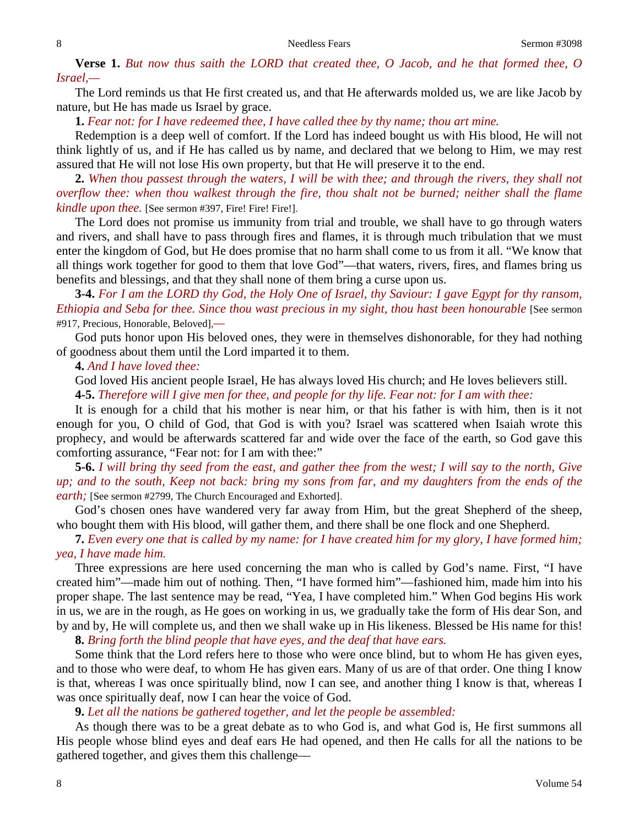**Verse 1.** *But now thus saith the LORD that created thee, O Jacob, and he that formed thee, O Israel,—*

The Lord reminds us that He first created us, and that He afterwards molded us, we are like Jacob by nature, but He has made us Israel by grace.

**1.** *Fear not: for I have redeemed thee, I have called thee by thy name; thou art mine.*

Redemption is a deep well of comfort. If the Lord has indeed bought us with His blood, He will not think lightly of us, and if He has called us by name, and declared that we belong to Him, we may rest assured that He will not lose His own property, but that He will preserve it to the end.

**2.** *When thou passest through the waters, I will be with thee; and through the rivers, they shall not overflow thee: when thou walkest through the fire, thou shalt not be burned; neither shall the flame kindle upon thee.* [See sermon #397, Fire! Fire! Fire!].

The Lord does not promise us immunity from trial and trouble, we shall have to go through waters and rivers, and shall have to pass through fires and flames, it is through much tribulation that we must enter the kingdom of God, but He does promise that no harm shall come to us from it all. "We know that all things work together for good to them that love God"—that waters, rivers, fires, and flames bring us benefits and blessings, and that they shall none of them bring a curse upon us.

**3-4.** *For I am the LORD thy God, the Holy One of Israel, thy Saviour: I gave Egypt for thy ransom, Ethiopia and Seba for thee. Since thou wast precious in my sight, thou hast been honourable* [See sermon #917, Precious, Honorable, Beloved],*—*

God puts honor upon His beloved ones, they were in themselves dishonorable, for they had nothing of goodness about them until the Lord imparted it to them.

**4.** *And I have loved thee:*

God loved His ancient people Israel, He has always loved His church; and He loves believers still.

**4-5.** *Therefore will I give men for thee, and people for thy life. Fear not: for I am with thee:*

It is enough for a child that his mother is near him, or that his father is with him, then is it not enough for you, O child of God, that God is with you? Israel was scattered when Isaiah wrote this prophecy, and would be afterwards scattered far and wide over the face of the earth, so God gave this comforting assurance, "Fear not: for I am with thee:"

**5-6.** *I will bring thy seed from the east, and gather thee from the west; I will say to the north, Give up; and to the south, Keep not back: bring my sons from far, and my daughters from the ends of the earth*; [See sermon #2799, The Church Encouraged and Exhorted].

God's chosen ones have wandered very far away from Him, but the great Shepherd of the sheep, who bought them with His blood, will gather them, and there shall be one flock and one Shepherd.

**7.** *Even every one that is called by my name: for I have created him for my glory, I have formed him; yea, I have made him.*

Three expressions are here used concerning the man who is called by God's name. First, "I have created him"—made him out of nothing. Then, "I have formed him"—fashioned him, made him into his proper shape. The last sentence may be read, "Yea, I have completed him." When God begins His work in us, we are in the rough, as He goes on working in us, we gradually take the form of His dear Son, and by and by, He will complete us, and then we shall wake up in His likeness. Blessed be His name for this!

**8.** *Bring forth the blind people that have eyes, and the deaf that have ears.*

Some think that the Lord refers here to those who were once blind, but to whom He has given eyes, and to those who were deaf, to whom He has given ears. Many of us are of that order. One thing I know is that, whereas I was once spiritually blind, now I can see, and another thing I know is that, whereas I was once spiritually deaf, now I can hear the voice of God.

**9.** *Let all the nations be gathered together, and let the people be assembled:*

As though there was to be a great debate as to who God is, and what God is, He first summons all His people whose blind eyes and deaf ears He had opened, and then He calls for all the nations to be gathered together, and gives them this challenge—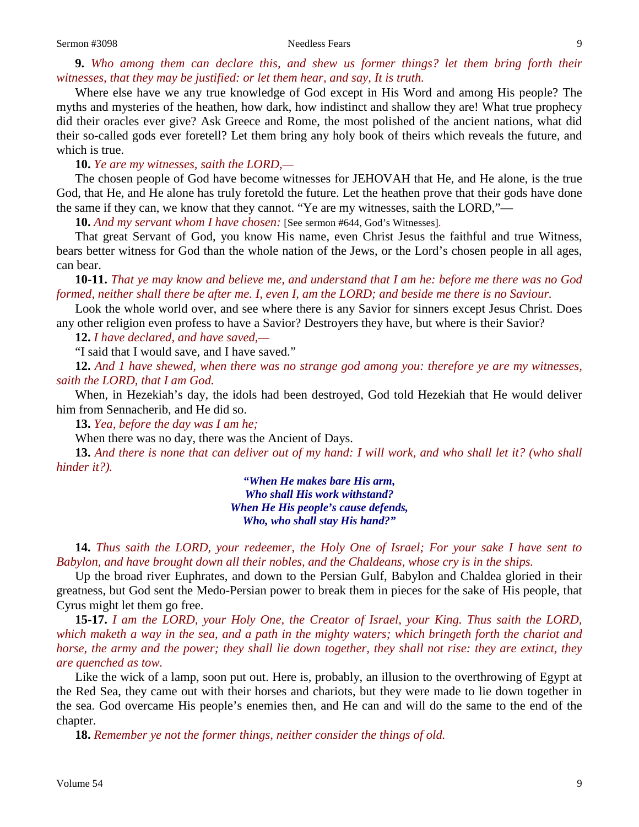#### Sermon #3098 **Sermon #3098** 9

# **9.** *Who among them can declare this, and shew us former things? let them bring forth their witnesses, that they may be justified: or let them hear, and say, It is truth.*

Where else have we any true knowledge of God except in His Word and among His people? The myths and mysteries of the heathen, how dark, how indistinct and shallow they are! What true prophecy did their oracles ever give? Ask Greece and Rome, the most polished of the ancient nations, what did their so-called gods ever foretell? Let them bring any holy book of theirs which reveals the future, and which is true.

#### **10.** *Ye are my witnesses, saith the LORD,—*

The chosen people of God have become witnesses for JEHOVAH that He, and He alone, is the true God, that He, and He alone has truly foretold the future. Let the heathen prove that their gods have done the same if they can, we know that they cannot. "Ye are my witnesses, saith the LORD,"—

**10.** *And my servant whom I have chosen:* [See sermon #644, God's Witnesses].

That great Servant of God, you know His name, even Christ Jesus the faithful and true Witness, bears better witness for God than the whole nation of the Jews, or the Lord's chosen people in all ages, can bear.

**10-11.** *That ye may know and believe me, and understand that I am he: before me there was no God formed, neither shall there be after me. I, even I, am the LORD; and beside me there is no Saviour.*

Look the whole world over, and see where there is any Savior for sinners except Jesus Christ. Does any other religion even profess to have a Savior? Destroyers they have, but where is their Savior?

**12.** *I have declared, and have saved,—*

"I said that I would save, and I have saved."

**12.** *And 1 have shewed, when there was no strange god among you: therefore ye are my witnesses, saith the LORD, that I am God.*

When, in Hezekiah's day, the idols had been destroyed, God told Hezekiah that He would deliver him from Sennacherib, and He did so.

**13.** *Yea, before the day was I am he;*

When there was no day, there was the Ancient of Days.

**13.** *And there is none that can deliver out of my hand: I will work, and who shall let it? (who shall hinder it?).*

> *"When He makes bare His arm, Who shall His work withstand? When He His people's cause defends, Who, who shall stay His hand?"*

**14.** *Thus saith the LORD, your redeemer, the Holy One of Israel; For your sake I have sent to Babylon, and have brought down all their nobles, and the Chaldeans, whose cry is in the ships.*

Up the broad river Euphrates, and down to the Persian Gulf, Babylon and Chaldea gloried in their greatness, but God sent the Medo-Persian power to break them in pieces for the sake of His people, that Cyrus might let them go free.

**15-17.** *I am the LORD, your Holy One, the Creator of Israel, your King. Thus saith the LORD, which maketh a way in the sea, and a path in the mighty waters; which bringeth forth the chariot and horse, the army and the power; they shall lie down together, they shall not rise: they are extinct, they are quenched as tow.*

Like the wick of a lamp, soon put out. Here is, probably, an illusion to the overthrowing of Egypt at the Red Sea, they came out with their horses and chariots, but they were made to lie down together in the sea. God overcame His people's enemies then, and He can and will do the same to the end of the chapter.

**18.** *Remember ye not the former things, neither consider the things of old.*